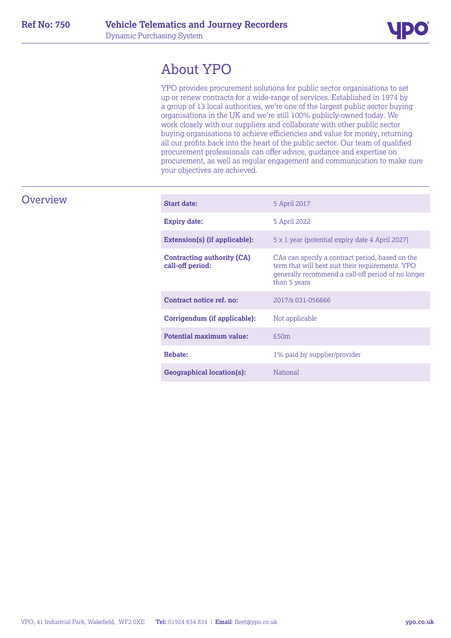

# About YPO

YPO provides procurement solutions for public sector organisations to set up or renew contracts for a wide-range of services. Established in 1974 by a group of 13 local authorities, we're one of the largest public sector buying organisations in the UK and we're still 100% publicly-owned today. We work closely with our suppliers and collaborate with other public sector buying organisations to achieve efficiencies and value for money, returning all our profits back into the heart of the public sector. Our team of qualified procurement professionals can offer advice, guidance and expertise on procurement, as well as regular engagement and communication to make sure your objectives are achieved.

| <b>Overview</b> |                                                       |                                                                                                                                                                           |
|-----------------|-------------------------------------------------------|---------------------------------------------------------------------------------------------------------------------------------------------------------------------------|
|                 | <b>Start date:</b>                                    | 5 April 2017                                                                                                                                                              |
|                 | <b>Expiry date:</b>                                   | 5 April 2022                                                                                                                                                              |
|                 | Extension(s) (if applicable):                         | 5 x 1 year (potential expiry date 4 April 2027)                                                                                                                           |
|                 | <b>Contracting authority (CA)</b><br>call-off period: | CAs can specify a contract period, based on the<br>term that will best suit their requirements. YPO<br>generally recommend a call-off period of no longer<br>than 5 years |
|                 | Contract notice ref. no:                              | 2017/s 031-056666                                                                                                                                                         |
|                 | Corrigendum (if applicable):                          | Not applicable                                                                                                                                                            |
|                 | Potential maximum value:                              | £50m                                                                                                                                                                      |
|                 | <b>Rebate:</b>                                        | 1% paid by supplier/provider                                                                                                                                              |
|                 | <b>Geographical location(s):</b>                      | National                                                                                                                                                                  |

#### YPO, 41 Industrial Park, Wakefield, WF2 0XE **Tel:** 01924 834 834 | **Email**: fleet@ypo.co.uk **ypo.co.uk**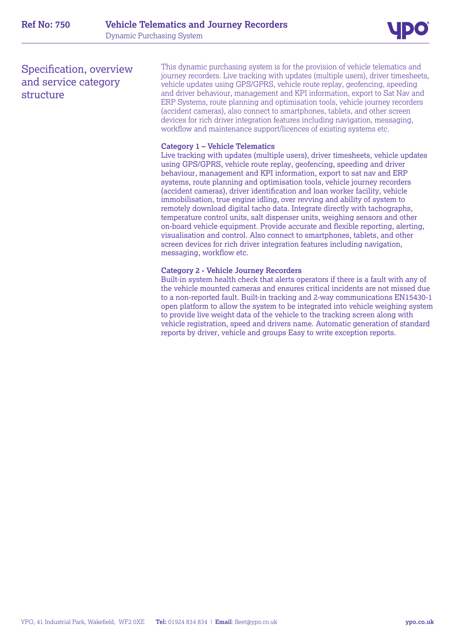

## Specification, overview and service category structure

This dynamic purchasing system is for the provision of vehicle telematics and journey recorders. Live tracking with updates (multiple users), driver timesheets, vehicle updates using GPS/GPRS, vehicle route replay, geofencing, speeding and driver behaviour, management and KPI information, export to Sat Nav and ERP Systems, route planning and optimisation tools, vehicle journey recorders (accident cameras), also connect to smartphones, tablets, and other screen devices for rich driver integration features including navigation, messaging, workflow and maintenance support/licences of existing systems etc.

#### **Category 1 – Vehicle Telematics**

Live tracking with updates (multiple users), driver timesheets, vehicle updates using GPS/GPRS, vehicle route replay, geofencing, speeding and driver behaviour, management and KPI information, export to sat nav and ERP systems, route planning and optimisation tools, vehicle journey recorders (accident cameras), driver identification and loan worker facility, vehicle immobilisation, true engine idling, over revving and ability of system to remotely download digital tacho data. Integrate directly with tachographs, temperature control units, salt dispenser units, weighing sensors and other on-board vehicle equipment. Provide accurate and flexible reporting, alerting, visualisation and control. Also connect to smartphones, tablets, and other screen devices for rich driver integration features including navigation, messaging, workflow etc.

### **Category 2 - Vehicle Journey Recorders**

Built-in system health check that alerts operators if there is a fault with any of the vehicle mounted cameras and ensures critical incidents are not missed due to a non-reported fault. Built-in tracking and 2-way communications EN15430-1 open platform to allow the system to be integrated into vehicle weighing system to provide live weight data of the vehicle to the tracking screen along with vehicle registration, speed and drivers name. Automatic generation of standard reports by driver, vehicle and groups Easy to write exception reports.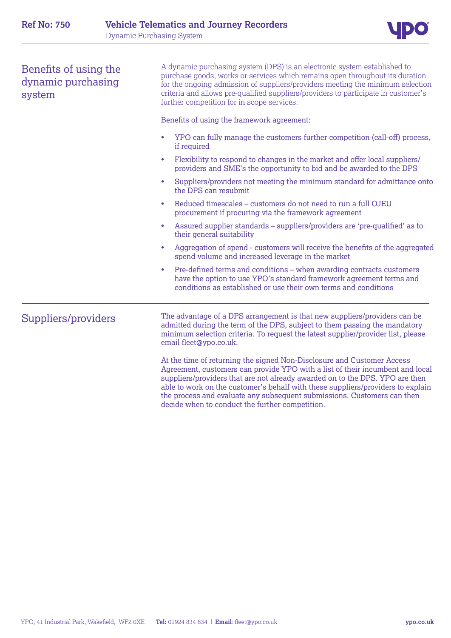

| Benefits of using the<br>dynamic purchasing<br>system | A dynamic purchasing system (DPS) is an electronic system established to<br>purchase goods, works or services which remains open throughout its duration<br>for the ongoing admission of suppliers/providers meeting the minimum selection<br>criteria and allows pre-qualified suppliers/providers to participate in customer's<br>further competition for in scope services.                                                                           |  |  |
|-------------------------------------------------------|----------------------------------------------------------------------------------------------------------------------------------------------------------------------------------------------------------------------------------------------------------------------------------------------------------------------------------------------------------------------------------------------------------------------------------------------------------|--|--|
|                                                       | Benefits of using the framework agreement:                                                                                                                                                                                                                                                                                                                                                                                                               |  |  |
|                                                       | YPO can fully manage the customers further competition (call-off) process,<br>$\bullet$<br>if required                                                                                                                                                                                                                                                                                                                                                   |  |  |
|                                                       | Flexibility to respond to changes in the market and offer local suppliers/<br>٠<br>providers and SME's the opportunity to bid and be awarded to the DPS                                                                                                                                                                                                                                                                                                  |  |  |
|                                                       | Suppliers/providers not meeting the minimum standard for admittance onto<br>٠<br>the DPS can resubmit                                                                                                                                                                                                                                                                                                                                                    |  |  |
|                                                       | Reduced timescales – customers do not need to run a full OJEU<br>٠<br>procurement if procuring via the framework agreement                                                                                                                                                                                                                                                                                                                               |  |  |
|                                                       | Assured supplier standards – suppliers/providers are 'pre-qualified' as to<br>٠<br>their general suitability                                                                                                                                                                                                                                                                                                                                             |  |  |
|                                                       | Aggregation of spend - customers will receive the benefits of the aggregated<br>$\bullet$<br>spend volume and increased leverage in the market                                                                                                                                                                                                                                                                                                           |  |  |
|                                                       | Pre-defined terms and conditions – when awarding contracts customers<br>$\bullet$<br>have the option to use YPO's standard framework agreement terms and<br>conditions as established or use their own terms and conditions                                                                                                                                                                                                                              |  |  |
| Suppliers/providers                                   | The advantage of a DPS arrangement is that new suppliers/providers can be<br>admitted during the term of the DPS, subject to them passing the mandatory<br>minimum selection criteria. To request the latest supplier/provider list, please<br>email fleet@ypo.co.uk.                                                                                                                                                                                    |  |  |
|                                                       | At the time of returning the signed Non-Disclosure and Customer Access<br>Agreement, customers can provide YPO with a list of their incumbent and local<br>suppliers/providers that are not already awarded on to the DPS. YPO are then<br>able to work on the customer's behalf with these suppliers/providers to explain<br>the process and evaluate any subsequent submissions. Customers can then<br>decide when to conduct the further competition. |  |  |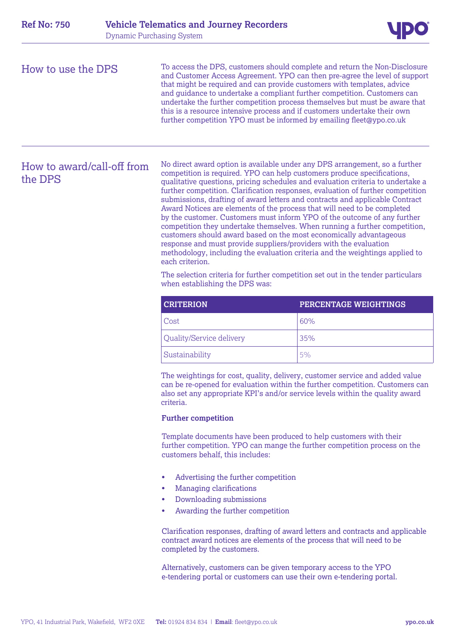

| How to use the DPS | To access the DPS, customers should complete and return the Non-Disclosure<br>and Customer Access Agreement. YPO can then pre-agree the level of support<br>that might be required and can provide customers with templates, advice<br>and quidance to undertake a compliant further competition. Customers can<br>undertake the further competition process themselves but must be aware that<br>this is a resource intensive process and if customers undertake their own<br>further competition YPO must be informed by emailing fleet@ypo.co.uk |
|--------------------|-----------------------------------------------------------------------------------------------------------------------------------------------------------------------------------------------------------------------------------------------------------------------------------------------------------------------------------------------------------------------------------------------------------------------------------------------------------------------------------------------------------------------------------------------------|
|                    |                                                                                                                                                                                                                                                                                                                                                                                                                                                                                                                                                     |

## How to award/call-off from the DPS

No direct award option is available under any DPS arrangement, so a further competition is required. YPO can help customers produce specifications, qualitative questions, pricing schedules and evaluation criteria to undertake a further competition. Clarification responses, evaluation of further competition submissions, drafting of award letters and contracts and applicable Contract Award Notices are elements of the process that will need to be completed by the customer. Customers must inform YPO of the outcome of any further competition they undertake themselves. When running a further competition, customers should award based on the most economically advantageous response and must provide suppliers/providers with the evaluation methodology, including the evaluation criteria and the weightings applied to each criterion.

The selection criteria for further competition set out in the tender particulars when establishing the DPS was:

| <b>CRITERION</b>         | PERCENTAGE WEIGHTINGS |
|--------------------------|-----------------------|
| Cost                     | 60%                   |
| Quality/Service delivery | 35%                   |
| Sustainability           | 5%                    |

The weightings for cost, quality, delivery, customer service and added value can be re-opened for evaluation within the further competition. Customers can also set any appropriate KPI's and/or service levels within the quality award criteria.

#### **Further competition**

Template documents have been produced to help customers with their further competition. YPO can mange the further competition process on the customers behalf, this includes:

- Advertising the further competition
- Managing clarifications
- Downloading submissions
- Awarding the further competition

Clarification responses, drafting of award letters and contracts and applicable contract award notices are elements of the process that will need to be completed by the customers.

Alternatively, customers can be given temporary access to the YPO e-tendering portal or customers can use their own e-tendering portal.